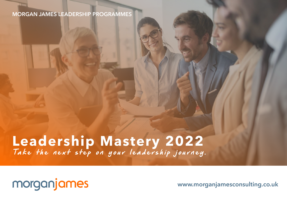### **MORGAN JAMES LEADERSHIP PROGRAMMES**

# Leadership Mastery 2022

### morganjames

www.morganjamesconsulting.co.uk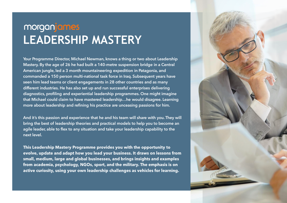### morganjames **LEADERSHIP MASTERY**

Your Programme Director, Michael Newman, knows a thing or two about Leadership Mastery. By the age of 26 he had built a 140-metre suspension bridge in a Central American jungle, led a 3 month mountaineering expedition in Patagonia, and commanded a 150 person multi-national task force in Iraq. Subsequent years have seen him lead teams or client engagements in 28 other countries and as many different industries. He has also set up and run successful enterprises delivering diagnostics, profiling and experiential leadership programmes. One might imagine that Michael could claim to have mastered leadership…he would disagree. Learning more about leadership and refining his practice are unceasing passions for him.

And it's this passion and experience that he and his team will share with you. They will bring the best of leadership theories and practical models to help you to become an agile leader, able to flex to any situation and take your leadership capability to the next level.

This Leadership Mastery Programme provides you with the opportunity to evolve, update and adapt how you lead your business. It draws on lessons from small, medium, large and global businesses, and brings insights and examples from academia, psychology, NGOs, sport, and the military. The emphasis is on active curiosity, using your own leadership challenges as vehicles for learning.

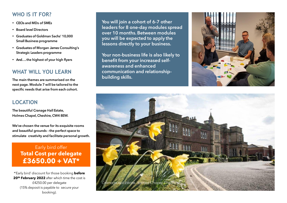### **WHO IS IT FOR?**

- CEOs and MDs of SMEs
- Board level Directors
- Graduates of Goldman Sachs' 10,000 Small Business programme
- Graduates of Morgan James Consulting's Strategic Leaders programme
- And….the highest of your high flyers

#### **WHAT WILL YOU LEARN**

The main themes are summarised on the next page. Module 7 will be tailored to the specific needs that arise from each cohort.

#### **LOCATION**

The beautiful Cranage Hall Estate, Holmes Chapel, Cheshire, CW4 8EW.

We've chosen the venue for its exquisite rooms and beautiful grounds – the perfect space to stimulate creativity and facilitate personal growth.

Early bird offer **Total Cost per delegate £3650.00 + VAT\***

\*'Early bird' discount for those booking **before 20th February 2022** after which time the cost is £4250.00 per delegate (15% deposit is payable to secure your booking).

**You will join a cohort of 6-7 other leaders for 8 one-day modules spread over 10 months. Between modules you will be expected to apply the lessons directly to your business.**

**Your non-business life is also likely to benefit from your increased selfawareness and enhanced communication and relationshipbuilding skills.**



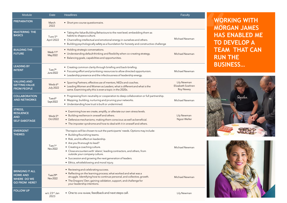| Module                                                                                  | Date                                     | <b>Headlines</b>                                                                                                                                                                                                                                                                                                                                                                                                                                   | Faculty                                              |
|-----------------------------------------------------------------------------------------|------------------------------------------|----------------------------------------------------------------------------------------------------------------------------------------------------------------------------------------------------------------------------------------------------------------------------------------------------------------------------------------------------------------------------------------------------------------------------------------------------|------------------------------------------------------|
| <b>PREPARATION</b>                                                                      | March<br>2022                            | • Short pre-course questionnaire.                                                                                                                                                                                                                                                                                                                                                                                                                  |                                                      |
| <b>MASTERING THE</b><br><b>BASICS</b>                                                   | Tues 5 <sup>th</sup><br>April 2022       | • Taking the Value Building Behaviours to the next level; embedding them as<br>habits to shape a culture.<br>• Channelling intellectual and emotional energy in ourselves and others.<br>• Building psychologically safety as a foundation for honesty and constructive challenge                                                                                                                                                                  | Michael Newman                                       |
| <b>BUILDING THE</b><br><b>FUTURE</b>                                                    | Weds 11 <sup>th</sup><br>May 2022        | • Holding strategic conversations.<br>• Understanding default thinking and flexibility when co-creating strategy.<br>• Balancing goals, capabilities and opportunities.                                                                                                                                                                                                                                                                            | Michael Newman                                       |
| <b>LEADING BY</b><br><b>INTENT</b>                                                      | Tues 7 <sup>th</sup><br><b>June 2022</b> | • Creating common clarity through briefing and back-briefing.<br>• Focusing effort and prioritising resources to allow directed opportunism.<br>• Leadership presence and the infectiousness of leadership energy.                                                                                                                                                                                                                                 | Michael Newman                                       |
| <b>VALUING AND</b><br><b>GETTING VALUE</b><br><b>FROM PEOPLE</b>                        | Weds 6 <sup>th</sup><br><b>July 2022</b> | • Sparring Partners; effective use of mentors, NEDs and coaches.<br>• Leading Women and Women as Leaders; what is different and what is the<br>same. Examining why this is even a topic in the 2020s.                                                                                                                                                                                                                                              | Lily Newman<br>Elizabeth Soehren<br><b>Roy Newey</b> |
| <b>COLLABORATION</b><br><b>AND NETWORKS</b>                                             | Tues 6 <sup>th</sup><br>Sept 2022        | • Progressing from neutrality or cooperation to deep collaboration or full partnership.<br>• Mapping, building, nurturing and pruning your networks.<br>• Understanding how trust is built or undermined.                                                                                                                                                                                                                                          | Michael Newman                                       |
| STRESS,<br><b>RESILIENCE</b><br><b>AND</b><br><b>SELF-SABOTAGE</b>                      | Weds 5 <sup>th</sup><br>Oct 2022         | • Examining how we create, amplify, or alleviate our own stress levels.<br>• Building resilience in oneself and others.<br>• Defensive mechanisms; making them conscious as well as beneficial.<br>• The imposter syndrome and how to deal with it in oneself and others.                                                                                                                                                                          | Lily Newman<br>Ngozi Weller                          |
| <b>EMERGENT</b><br><b>THEMES</b>                                                        | Tues 1st<br>Nov 2022                     | The topics will be chosen to suit the participants' needs. Options may include:<br>• Building flourishing teams.<br>• Risk, and its effect on leadership.<br>• Are you fit enough to lead?<br>• Creating a coaching culture.<br>• Close encounters with 'aliens'; leading contractors, and others, from<br>outside your company culture.<br>• Succession and growing the next generation of leaders.<br>• Ethics, whistleblowing and moral injury. | Michael Newman                                       |
| <b>BRINGING IT ALL</b><br><b>HOME AND</b><br><b>WHERE DO WE</b><br><b>GO FROM HERE?</b> | Tues 29th<br>Nov 2022                    | • Reviewing and celebrating success.<br>• Reflecting on the learning process; what worked and what was a<br>struggle. Identifying how to continue personal, and collective, growth.<br>• The Dragons' Den; gaining validation, support, and challenge for<br>your leadership intentions.                                                                                                                                                           | Michael Newman                                       |
| <b>FOLLOW UP</b>                                                                        | w/c 23 <sup>rd</sup> Jan<br>2023         | • One to one review, feedback and next steps call.                                                                                                                                                                                                                                                                                                                                                                                                 | Lily Newman                                          |

### **WORKING WITH MORGAN JAMES HAS ENABLED ME TO DEVELOP A TEAM THAT CAN RUN THE BUSINESS…**



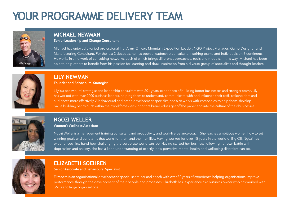### **YOUR PROGRAMME DELIVERY TEAM**



### **MICHAEL NEWMAN**

Senior Leadership and Change Consultant

Michael has enjoyed a varied professional life; Army Officer, Mountain Expedition Leader, NGO Project Manager, Game Designer and Manufacturing Consultant. For the last 2 decades, he has been a leadership consultant, inspiring teams and individuals on 6 continents. He works in a network of consulting networks, each of which brings different approaches, tools and models. In this way, Michael has been able to help others to benefit from his passion for learning and draw inspiration from a diverse group of specialists and thought leaders.



### **LILY NEWMAN**

Founder and Behavioural Strategist

Lily is a behavioural strategist and leadership consultant with 20+years' experience of building better businesses and stronger teams. Lily has worked with over 2000 business leaders, helping them to understand, communicate with and influence their staff, stakeholders and audiences more effectively. A behavioural and brand development specialist, she also works with companies to help them develop 'value building behaviours' within their workforces, ensuring that brand values get off the paper and into the culture of their businesses.



### **NGOZI WELLER**

#### Women's Wellness Associate

Ngozi Weller is a management training consultant and productivity and work-life balance coach. She teaches ambitious women how to set winning goals and build a life that works for them and their families. Having worked for over 15 years in the world of Big Oil, Ngozi has experienced first-hand how challenging the corporate world can be. Having started her business following her own battle with depression and anxiety, she has a keen understanding of exactly how pervasive mental health and wellbeing disorders can be.



### **ELIZABETH SOEHREN**

Senior Associate and Behavioural Specialist

Elizabeth is an organisational development specialist, trainer and coach with over 30 years of experience helping organisations improve performance through the development of their people and processes. Elizabeth has experience as a business owner who has worked with SMEs and large organisations.